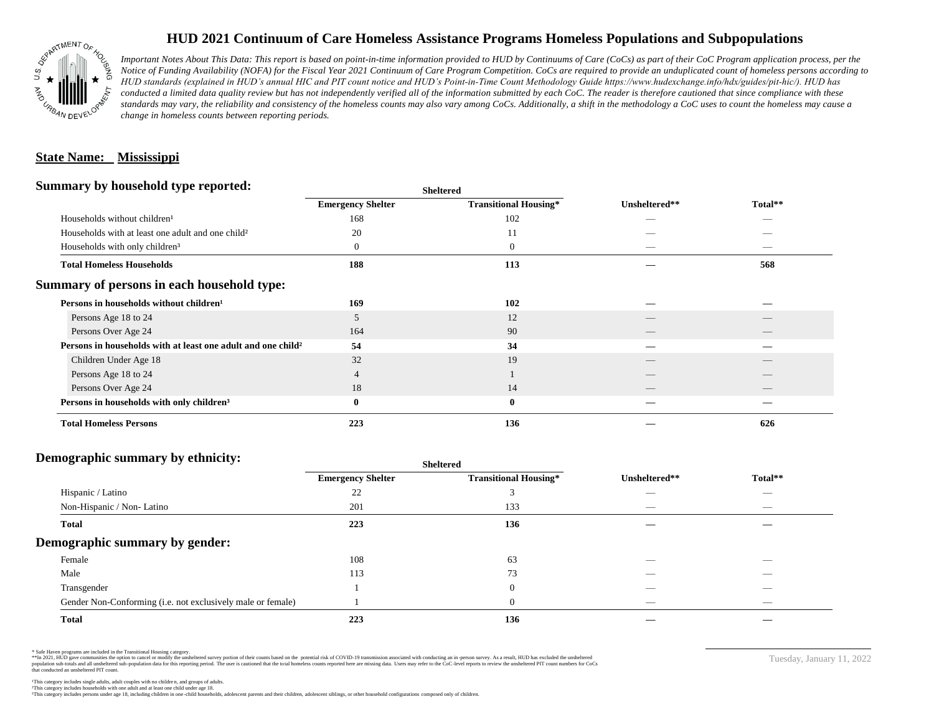

# **HUD 2021 Continuum of Care Homeless Assistance Programs Homeless Populations and Subpopulations**

*Important Notes About This Data: This report is based on point-in-time information provided to HUD by Continuums of Care (CoCs) as part of their CoC Program application process, per the Notice of Funding Availability (NOFA) for the Fiscal Year 2021 Continuum of Care Program Competition. CoCs are required to provide an unduplicated count of homeless persons according to HUD standards (explained in HUD's annual HIC and PIT count notice and HUD's Point-in-Time Count Methodology Guide https://www.hudexchange.info/hdx/guides/pit-hic/). HUD has*  conducted a limited data quality review but has not independently verified all of the information submitted by each CoC. The reader is therefore cautioned that since compliance with these standards may vary, the reliability and consistency of the homeless counts may also vary among CoCs. Additionally, a shift in the methodology a CoC uses to count the homeless may cause a *change in homeless counts between reporting periods.*

### **State Name: Mississippi**

#### **Summary by household type reported:**

| Summary by household type reported:                           |                          | <b>Sheltered</b>             |               |         |
|---------------------------------------------------------------|--------------------------|------------------------------|---------------|---------|
|                                                               | <b>Emergency Shelter</b> | <b>Transitional Housing*</b> | Unsheltered** | Total** |
| Households without children <sup>1</sup>                      | 168                      | 102                          |               |         |
| Households with at least one adult and one child <sup>2</sup> | 20                       | 11                           |               |         |
| Households with only children <sup>3</sup>                    | 0                        | $\theta$                     | _             |         |
| <b>Total Homeless Households</b>                              | 188                      | 113                          |               | 568     |
| Summary of persons in each household type:                    |                          |                              |               |         |
| Persons in households without children <sup>1</sup>           | 169                      | 102                          |               |         |
| Persons Age 18 to 24                                          | 5                        | 12                           |               |         |
| Persons Over Age 24                                           | 164                      | 90                           |               |         |
| Persons in households with at least one adult and one child?  | 54                       | 34                           |               |         |
| Children Under Age 18                                         | 32                       | 19                           |               |         |
| Persons Age 18 to 24                                          | 4                        |                              |               |         |
| Persons Over Age 24                                           | 18                       | 14                           | __            |         |
| Persons in households with only children <sup>3</sup>         | $\bf{0}$                 | $\boldsymbol{0}$             |               |         |
| <b>Total Homeless Persons</b>                                 | 223                      | 136                          |               | 626     |

#### **Demographic summary by ethnicity:**

|                                                             | <b>Sheltered</b>         |                              |                   |         |
|-------------------------------------------------------------|--------------------------|------------------------------|-------------------|---------|
|                                                             | <b>Emergency Shelter</b> | <b>Transitional Housing*</b> | Unsheltered**     | Total** |
| Hispanic / Latino                                           | 22                       |                              | --                |         |
| Non-Hispanic / Non-Latino                                   | 201                      | 133                          | _                 |         |
| <b>Total</b>                                                | 223                      | 136                          |                   |         |
| Demographic summary by gender:                              |                          |                              |                   |         |
| Female                                                      | 108                      | 63                           |                   | _       |
| Male                                                        | 113                      | 73                           |                   |         |
| Transgender                                                 |                          | $\theta$                     | $\sim$            |         |
| Gender Non-Conforming (i.e. not exclusively male or female) |                          | v                            | $\hspace{0.05cm}$ |         |
| <b>Total</b>                                                | 223                      | 136                          |                   |         |

\* Safe Haven programs are included in the Transitional Housing category.

\*\*In 2021, HUD gave communities the option to cancel or modify the unsheltered survey portion of their counts based on the potential risk of COVID-19 transmission associated with conducting an in-person survey. As a result n political and distribution of the resort in the constant of the experimental and the constant of the constant of the constant of the constant of the constant of the constant of the constant of the constant of the constan that conducted an unsheltered PIT count.

Tuesday, January 11, 2022